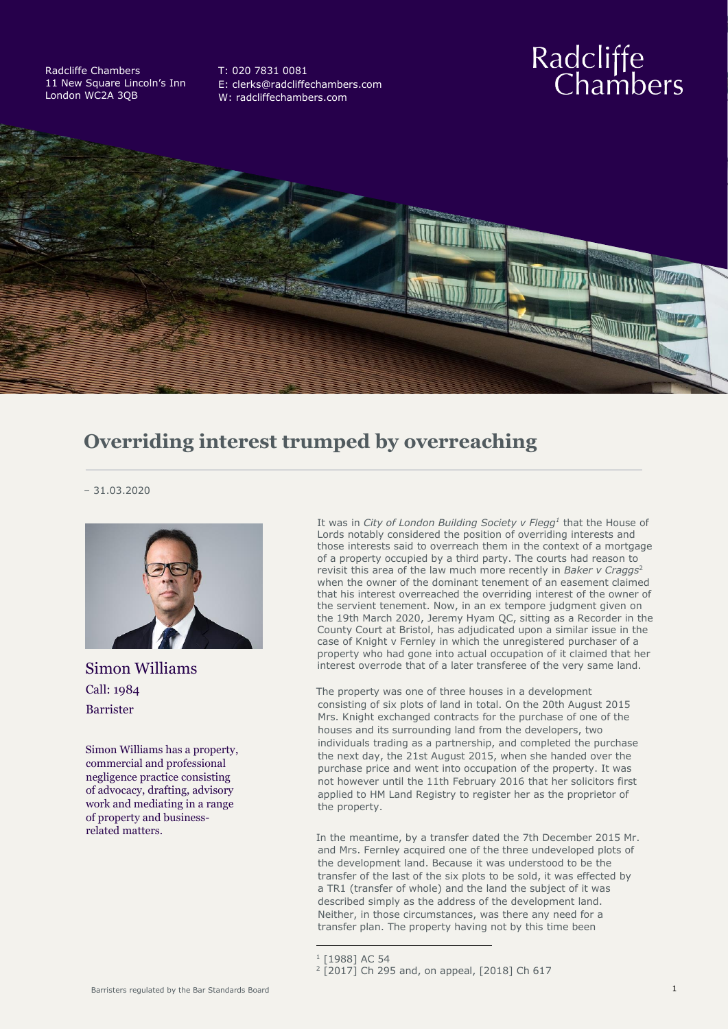Radcliffe Chambers 11 New Square Lincoln's Inn London WC2A 3QB

T: 020 7831 0081 [E: clerks@radcliffechambers.com](mailto:clerks@radcliffechambers.com) W: radcliffechambers.com

## Radcliffe<br>Chambers



## **Overriding interest trumped by overreaching**

– 31.03.2020



Simon Williams Call: 1984 Barrister

Simon Williams has a property, commercial and professional negligence practice consisting of advocacy, drafting, advisory work and mediating in a range of property and businessrelated matters.

It was in *City of London Building Society v Flegg<sup>1</sup>* that the House of Lords notably considered the position of overriding interests and those interests said to overreach them in the context of a mortgage of a property occupied by a third party. The courts had reason to revisit this area of the law much more recently in *Baker v Craggs*<sup>2</sup> when the owner of the dominant tenement of an easement claimed that his interest overreached the overriding interest of the owner of the servient tenement. Now, in an ex tempore judgment given on the 19th March 2020, Jeremy Hyam QC, sitting as a Recorder in the County Court at Bristol, has adjudicated upon a similar issue in the case of Knight v Fernley in which the unregistered purchaser of a property who had gone into actual occupation of it claimed that her interest overrode that of a later transferee of the very same land.

The property was one of three houses in a development consisting of six plots of land in total. On the 20th August 2015 Mrs. Knight exchanged contracts for the purchase of one of the houses and its surrounding land from the developers, two individuals trading as a partnership, and completed the purchase the next day, the 21st August 2015, when she handed over the purchase price and went into occupation of the property. It was not however until the 11th February 2016 that her solicitors first applied to HM Land Registry to register her as the proprietor of the property.

In the meantime, by a transfer dated the 7th December 2015 Mr. and Mrs. Fernley acquired one of the three undeveloped plots of the development land. Because it was understood to be the transfer of the last of the six plots to be sold, it was effected by a TR1 (transfer of whole) and the land the subject of it was described simply as the address of the development land. Neither, in those circumstances, was there any need for a transfer plan. The property having not by this time been

<sup>1</sup> [1988] AC 54

<sup>2</sup> [2017] Ch 295 and, on appeal, [2018] Ch 617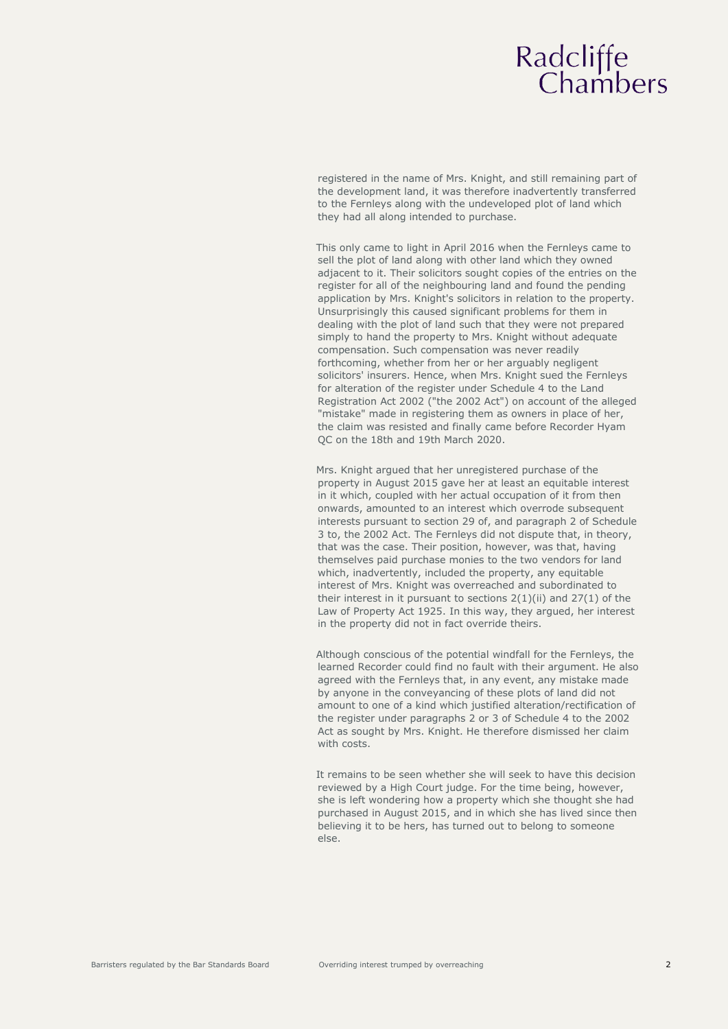## Radcliffe<br>Chambers

registered in the name of Mrs. Knight, and still remaining part of the development land, it was therefore inadvertently transferred to the Fernleys along with the undeveloped plot of land which they had all along intended to purchase.

This only came to light in April 2016 when the Fernleys came to sell the plot of land along with other land which they owned adjacent to it. Their solicitors sought copies of the entries on the register for all of the neighbouring land and found the pending application by Mrs. Knight's solicitors in relation to the property. Unsurprisingly this caused significant problems for them in dealing with the plot of land such that they were not prepared simply to hand the property to Mrs. Knight without adequate compensation. Such compensation was never readily forthcoming, whether from her or her arguably negligent solicitors' insurers. Hence, when Mrs. Knight sued the Fernleys for alteration of the register under Schedule 4 to the Land Registration Act 2002 ("the 2002 Act") on account of the alleged "mistake" made in registering them as owners in place of her, the claim was resisted and finally came before Recorder Hyam QC on the 18th and 19th March 2020.

Mrs. Knight argued that her unregistered purchase of the property in August 2015 gave her at least an equitable interest in it which, coupled with her actual occupation of it from then onwards, amounted to an interest which overrode subsequent interests pursuant to section 29 of, and paragraph 2 of Schedule 3 to, the 2002 Act. The Fernleys did not dispute that, in theory, that was the case. Their position, however, was that, having themselves paid purchase monies to the two vendors for land which, inadvertently, included the property, any equitable interest of Mrs. Knight was overreached and subordinated to their interest in it pursuant to sections  $2(1)(ii)$  and  $27(1)$  of the Law of Property Act 1925. In this way, they argued, her interest in the property did not in fact override theirs.

Although conscious of the potential windfall for the Fernleys, the learned Recorder could find no fault with their argument. He also agreed with the Fernleys that, in any event, any mistake made by anyone in the conveyancing of these plots of land did not amount to one of a kind which justified alteration/rectification of the register under paragraphs 2 or 3 of Schedule 4 to the 2002 Act as sought by Mrs. Knight. He therefore dismissed her claim with costs.

It remains to be seen whether she will seek to have this decision reviewed by a High Court judge. For the time being, however, she is left wondering how a property which she thought she had purchased in August 2015, and in which she has lived since then believing it to be hers, has turned out to belong to someone else.